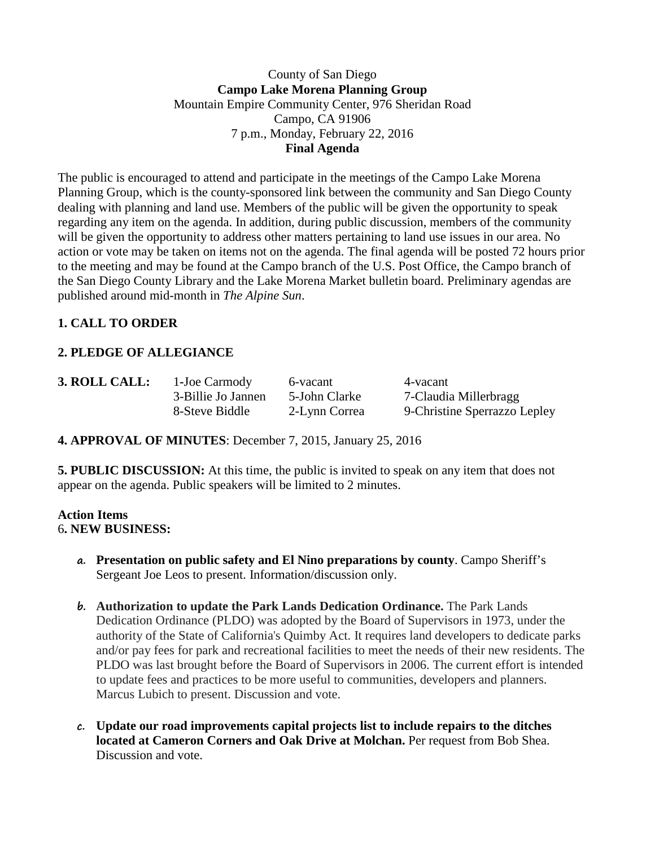### County of San Diego **Campo Lake Morena Planning Group** Mountain Empire Community Center, 976 Sheridan Road Campo, CA 91906 7 p.m., Monday, February 22, 2016 **Final Agenda**

The public is encouraged to attend and participate in the meetings of the Campo Lake Morena Planning Group, which is the county-sponsored link between the community and San Diego County dealing with planning and land use. Members of the public will be given the opportunity to speak regarding any item on the agenda. In addition, during public discussion, members of the community will be given the opportunity to address other matters pertaining to land use issues in our area. No action or vote may be taken on items not on the agenda. The final agenda will be posted 72 hours prior to the meeting and may be found at the Campo branch of the U.S. Post Office, the Campo branch of the San Diego County Library and the Lake Morena Market bulletin board. Preliminary agendas are published around mid-month in *The Alpine Sun*.

# **1. CALL TO ORDER**

### **2. PLEDGE OF ALLEGIANCE**

**3. ROLL CALL:** 1-Joe Carmody 6-vacant 4-vacant

3-Billie Jo Jannen 5-John Clarke 7-Claudia Millerbragg 8-Steve Biddle 2-Lynn Correa 9-Christine Sperrazzo Lepley

**4. APPROVAL OF MINUTES**: December 7, 2015, January 25, 2016

**5. PUBLIC DISCUSSION:** At this time, the public is invited to speak on any item that does not appear on the agenda. Public speakers will be limited to 2 minutes.

#### **Action Items** 6**. NEW BUSINESS:**

- **a. Presentation on public safety and El Nino preparations by county**. Campo Sheriff's Sergeant Joe Leos to present. Information/discussion only.
- **b. Authorization to update the Park Lands Dedication Ordinance.** The Park Lands Dedication Ordinance (PLDO) was adopted by the Board of Supervisors in 1973, under the authority of the State of California's Quimby Act. It requires land developers to dedicate parks and/or pay fees for park and recreational facilities to meet the needs of their new residents. The PLDO was last brought before the Board of Supervisors in 2006. The current effort is intended to update fees and practices to be more useful to communities, developers and planners. Marcus Lubich to present. Discussion and vote.
- **c. Update our road improvements capital projects list to include repairs to the ditches located at Cameron Corners and Oak Drive at Molchan.** Per request from Bob Shea. Discussion and vote.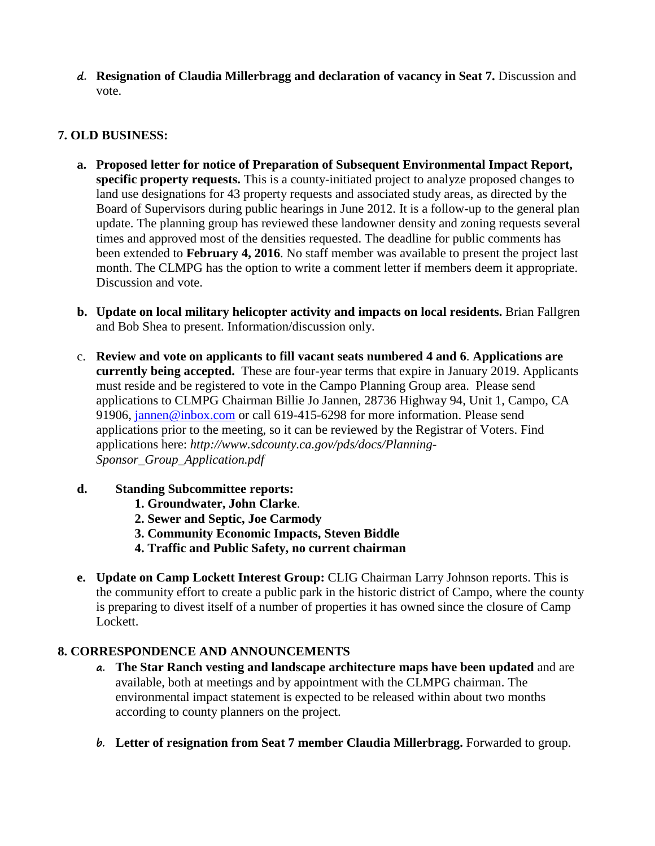**d. Resignation of Claudia Millerbragg and declaration of vacancy in Seat 7.** Discussion and vote.

## **7. OLD BUSINESS:**

- **a. Proposed letter for notice of Preparation of Subsequent Environmental Impact Report, specific property requests.** This is a county-initiated project to analyze proposed changes to land use designations for 43 property requests and associated study areas, as directed by the Board of Supervisors during public hearings in June 2012. It is a follow-up to the general plan update. The planning group has reviewed these landowner density and zoning requests several times and approved most of the densities requested. The deadline for public comments has been extended to **February 4, 2016**. No staff member was available to present the project last month. The CLMPG has the option to write a comment letter if members deem it appropriate. Discussion and vote.
- **b. Update on local military helicopter activity and impacts on local residents.** Brian Fallgren and Bob Shea to present. Information/discussion only.
- c. **Review and vote on applicants to fill vacant seats numbered 4 and 6**. **Applications are currently being accepted.** These are four-year terms that expire in January 2019. Applicants must reside and be registered to vote in the Campo Planning Group area. Please send applications to CLMPG Chairman Billie Jo Jannen, 28736 Highway 94, Unit 1, Campo, CA 91906, [jannen@inbox.com](mailto:campojoe@yahoo.com) or call 619-415-6298 for more information. Please send applications prior to the meeting, so it can be reviewed by the Registrar of Voters. Find applications here: *http://www.sdcounty.ca.gov/pds/docs/Planning-Sponsor\_Group\_Application.pdf*
- **d. Standing Subcommittee reports:**
	- **1. Groundwater, John Clarke**.
	- **2. Sewer and Septic, Joe Carmody**
	- **3. Community Economic Impacts, Steven Biddle**
	- **4. Traffic and Public Safety, no current chairman**
- **e. Update on Camp Lockett Interest Group:** CLIG Chairman Larry Johnson reports. This is the community effort to create a public park in the historic district of Campo, where the county is preparing to divest itself of a number of properties it has owned since the closure of Camp Lockett.

### **8. CORRESPONDENCE AND ANNOUNCEMENTS**

- **a. The Star Ranch vesting and landscape architecture maps have been updated** and are available, both at meetings and by appointment with the CLMPG chairman. The environmental impact statement is expected to be released within about two months according to county planners on the project.
- **b. Letter of resignation from Seat 7 member Claudia Millerbragg.** Forwarded to group.